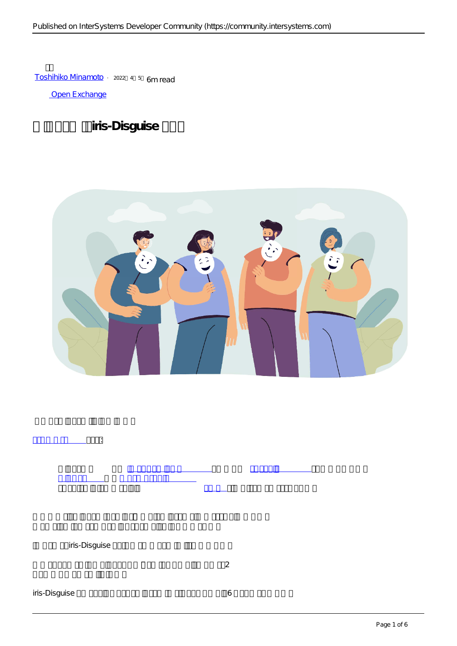[Toshihiko Minamoto](https://jp.community.intersystems.com/user/toshihiko-minamoto) · 2022–4-5 6m read

[Open Exchange](https://openexchange.intersystems.com/package/iris-disguise)

## iris-Disguise



iris-Disguise

[データセット](https://en.wikipedia.org/wiki/Data_set) から [個人を特定可能な情報](https://en.wikipedia.org/wiki/Personally_identifiable_information)

 $\sim$ 

**データの場合には、 子供の場合には、 子供の場合には、 子供の場合には、 子供の場合には、 子供の場合には、 子供の場合には、 子供の場合には、 子供の場合には、 子供の場合には** 

を取り除き、データが説明するユーザーが [匿名性](https://en.wikipedia.org/wiki/Anonymity) を維持できるようにするプロセスです。

iris-Disguise の最新のバージョンには、データを匿名化するためのストラテジーが 6 つ用意されています。

[ウィキペディア](https://en.wikipedia.org/wiki/Data_anonymization) によると: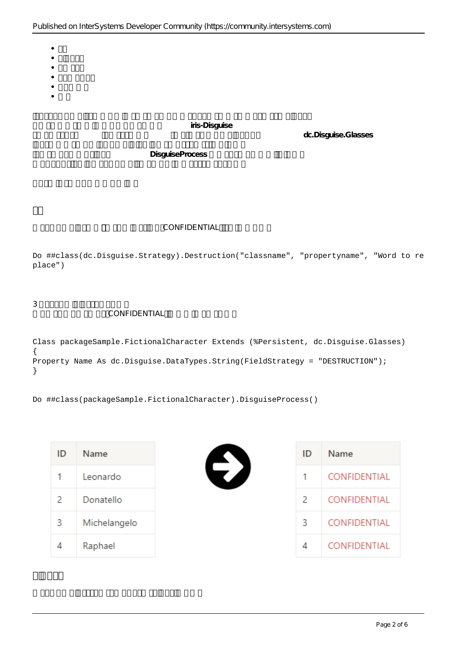- $\bullet$  $\bullet$
- $\bullet$
- 
- 
- 

iris-Disguise

 $dc$ .Disquise.Glasses

**DisguiseProcess** 

## CONFIDENTIAL

Do ##class(dc.Disguise.Strategy).Destruction("classname", "propertyname", "Word to re place")

 $3\,$ 

## CONFIDENTIAL

Class packageSample.FictionalCharacter Extends (%Persistent, dc.Disguise.Glasses) { Property Name As dc.Disguise.DataTypes.String(FieldStrategy = "DESTRUCTION"); }

Do ##class(packageSample.FictionalCharacter).DisguiseProcess()

| ID | Name         |
|----|--------------|
| 1  | Leonardo     |
| 2  | Donatello    |
| 3  | Michelangelo |
|    | Raphael      |



| ID | Name         |
|----|--------------|
| 1  | CONFIDENTIAL |
| 2  | CONFIDENTIAL |
| 3  | CONFIDENTIAL |
|    | CONFIDENTIAL |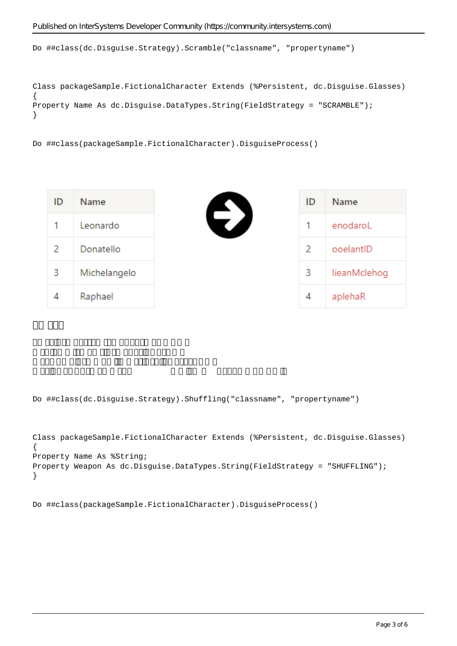Do ##class(dc.Disguise.Strategy).Scramble("classname", "propertyname")

```
Class packageSample.FictionalCharacter Extends (%Persistent, dc.Disguise.Glasses)
{
Property Name As dc.Disguise.DataTypes.String(FieldStrategy = "SCRAMBLE");
}
```
Do ##class(packageSample.FictionalCharacter).DisguiseProcess()

| ID | Name         | ID | Name         |
|----|--------------|----|--------------|
| 1  | Leonardo     | 1. | enodaroL     |
| 2  | Donatello    | 2  | ooelantID    |
| 3  | Michelangelo | 3  | lieanMclehog |
| 4  | Raphael      | 4  | aplehaR      |

Do ##class(dc.Disguise.Strategy).Shuffling("classname", "propertyname")

```
Class packageSample.FictionalCharacter Extends (%Persistent, dc.Disguise.Glasses)
{
Property Name As %String;
Property Weapon As dc.Disguise.DataTypes.String(FieldStrategy = "SHUFFLING");
}
```
Do ##class(packageSample.FictionalCharacter).DisguiseProcess()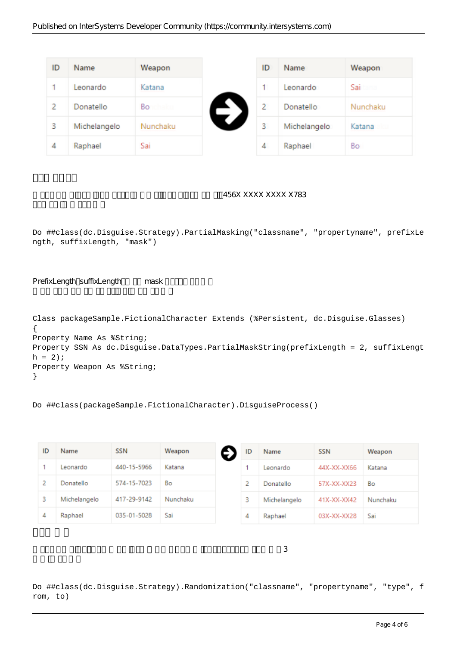| ID | Name         | Weapon   |
|----|--------------|----------|
|    | Leonardo     | Katana   |
| 2  | Donatello    | Bo       |
| 3  | Michelangelo | Nunchaku |
| 4  | Raphael      | Sai      |

このストラテジーは、データの一部を難読化します。クレジットカードを例にすると、456X XXXX XXXX X783

Do ##class(dc.Disguise.Strategy).PartialMasking("classname", "propertyname", prefixLe ngth, suffixLength, "mask")

PrefixLength suffixLength mask

```
Class packageSample.FictionalCharacter Extends (%Persistent, dc.Disguise.Glasses)
{
Property Name As %String;
Property SSN As dc.Disguise.DataTypes.PartialMaskString(prefixLength = 2, suffixLengt
h = 2;Property Weapon As %String;
}
```

```
Do ##class(packageSample.FictionalCharacter).DisguiseProcess()
```

| ID | Name         | <b>SSN</b>  | Weapon   | ID | Name         | <b>SSN</b>  | Weapon   |
|----|--------------|-------------|----------|----|--------------|-------------|----------|
|    | Leonardo     | 440-15-5966 | Katana   |    | Leonardo     | 44X-XX-XX66 | Katana   |
|    | Donatello    | 574-15-7023 | Bo       |    | Donatello    | 57X-XX-XX23 | Bo       |
|    | Michelangelo | 417-29-9142 | Nunchaku | з  | Michelangelo | 41X-XX-XX42 | Nunchaku |
| 4  | Raphael      | 035-01-5028 | Sai      | 4  | Raphael      | 03X-XX-XX28 | Sai      |

Do ##class(dc.Disguise.Strategy).Randomization("classname", "propertyname", "type", f rom, to)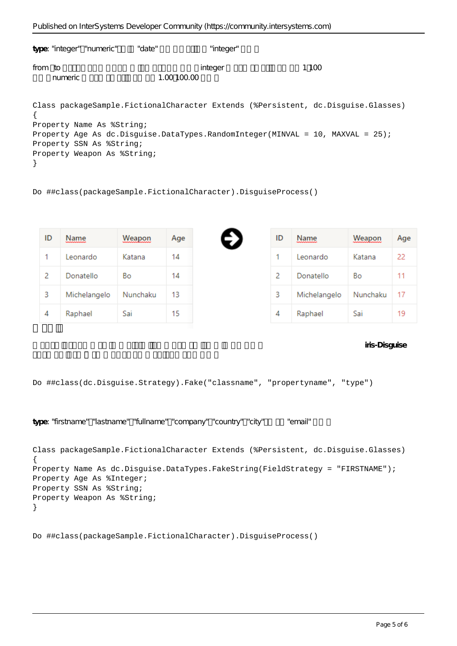|         | type: "integer" "numeric" | "da te"     | "integer" |      |
|---------|---------------------------|-------------|-----------|------|
| from to | numeric                   | 1.00 100.00 | integer   | 1100 |

Class packageSample.FictionalCharacter Extends (%Persistent, dc.Disguise.Glasses) { Property Name As %String; Property Age As dc.Disguise.DataTypes.RandomInteger(MINVAL = 10, MAXVAL = 25); Property SSN As %String; Property Weapon As %String; }

Do ##class(packageSample.FictionalCharacter).DisguiseProcess()

| ID | Name         | Weapon   | Age |
|----|--------------|----------|-----|
| 1  | Leonardo     | Katana   | 14  |
| 2  | Donatello    | Bo       | 14  |
| 3  | Michelangelo | Nunchaku | 13  |
|    | Raphael      | Sai      | 15  |

| ID | Name         | Weapon   | Age |
|----|--------------|----------|-----|
| 1  | Leonardo     | Katana   | 22  |
| 2  | Donatello    | Bо       | 11  |
| 3  | Michelangelo | Nunchaku | 17  |
| Δ  | Raphael      | Sai      | 19  |

iris-Disguise

Do ##class(dc.Disguise.Strategy).Fake("classname", "propertyname", "type")

type: "firstname" "lastname" "fullname" "company" "country" "city" "email"

```
Class packageSample.FictionalCharacter Extends (%Persistent, dc.Disguise.Glasses)
{
Property Name As dc.Disguise.DataTypes.FakeString(FieldStrategy = "FIRSTNAME");
Property Age As %Integer;
Property SSN As %String;
Property Weapon As %String;
}
```
Do ##class(packageSample.FictionalCharacter).DisguiseProcess()